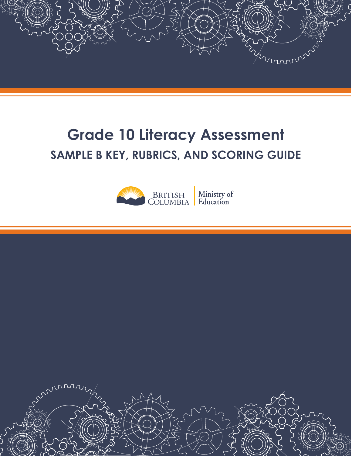

# **Grade 10 Literacy Assessment SAMPLE B KEY, RUBRICS, AND SCORING GUIDE**



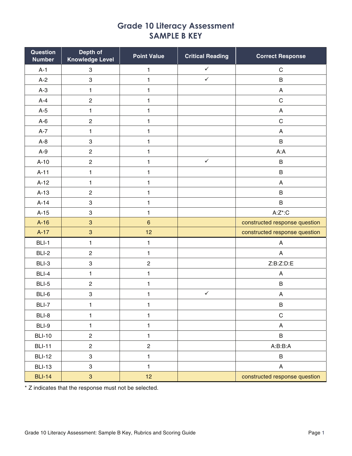# **Grade 10 Literacy Assessment SAMPLE B KEY**

| Question<br><b>Number</b> | Depth of<br><b>Knowledge Level</b> | <b>Point Value</b> | <b>Critical Reading</b> | <b>Correct Response</b>                            |
|---------------------------|------------------------------------|--------------------|-------------------------|----------------------------------------------------|
| $A-1$                     | $\ensuremath{\mathsf{3}}$          | $\mathbf{1}$       | $\checkmark$            | $\mathbf C$                                        |
| $A-2$                     | $\ensuremath{\mathsf{3}}$          | $\mathbf{1}$       | $\checkmark$            | B                                                  |
| $A-3$                     | $\mathbf{1}$                       | $\mathbf{1}$       |                         | A                                                  |
| $A-4$                     | $\mathbf 2$                        | $\mathbf{1}$       |                         | $\mathsf C$                                        |
| $A-5$                     | $\mathbf{1}$                       | $\mathbf{1}$       |                         | $\boldsymbol{\mathsf{A}}$                          |
| $A-6$                     | $\sqrt{2}$                         | 1                  |                         | $\mathsf C$                                        |
| $A-7$                     | $\mathbf{1}$                       | $\mathbf{1}$       |                         | $\boldsymbol{\mathsf{A}}$                          |
| $A-8$                     | $\ensuremath{\mathsf{3}}$          | 1                  |                         | B                                                  |
| $A-9$                     | $\sqrt{2}$                         | 1                  |                         | A:A                                                |
| $A-10$                    | $\mathbf 2$                        | $\mathbf{1}$       | $\checkmark$            | $\sf B$                                            |
| $A-11$                    | $\mathbf{1}$                       | $\mathbf{1}$       |                         | $\sf B$                                            |
| $A-12$                    | $\mathbf{1}$                       | $\mathbf{1}$       |                         | A                                                  |
| $A-13$                    | $\mathbf 2$                        | 1                  |                         | B                                                  |
| $A-14$                    | $\ensuremath{\mathsf{3}}$          | 1                  |                         | B                                                  |
| $A-15$                    | 3                                  | 1                  |                         | $\mathsf{A}\text{:}\mathsf{Z}^*\text{:}\mathsf{C}$ |
| $A-16$                    | $\mathbf{3}$                       | $\, 6$             |                         | constructed response question                      |
| $A-17$                    | $\ensuremath{\mathsf{3}}$          | 12                 |                         | constructed response question                      |
| BLI-1                     | $\mathbf{1}$                       | 1                  |                         | A                                                  |
| BLI-2                     | $\mathbf{2}$                       | $\mathbf{1}$       |                         | $\boldsymbol{\mathsf{A}}$                          |
| BLI-3                     | $\ensuremath{\mathsf{3}}$          | $\overline{c}$     |                         | Z:B:Z:D:E                                          |
| BLI-4                     | $\mathbf{1}$                       | $\mathbf{1}$       |                         | A                                                  |
| BLI-5                     | $\sqrt{2}$                         | $\mathbf{1}$       |                         | $\sf B$                                            |
| BLI-6                     | 3                                  | $\mathbf{1}$       | $\checkmark$            | $\boldsymbol{\mathsf{A}}$                          |
| BLI-7                     | $\mathbf{1}$                       | 1                  |                         | B                                                  |
| BLI-8                     | $\mathbf{1}$                       | $\mathbf{1}$       |                         | $\mathsf C$                                        |
| BLI-9                     | $\mathbf{1}$                       | 1                  |                         | A                                                  |
| <b>BLI-10</b>             | $\overline{c}$                     | $\mathbf{1}$       |                         | $\sf B$                                            |
| <b>BLI-11</b>             | $\overline{c}$                     | $\overline{c}$     |                         | A:B:B:A                                            |
| <b>BLI-12</b>             | 3                                  | $\mathbf{1}$       |                         | B                                                  |
| <b>BLI-13</b>             | 3                                  | $\mathbf{1}$       |                         | A                                                  |
| <b>BLI-14</b>             | 3                                  | 12                 |                         | constructed response question                      |

\* Z indicates that the response must not be selected.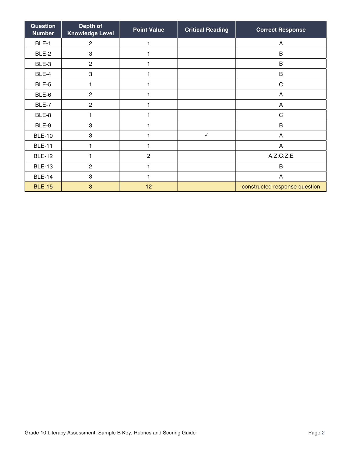| Question<br><b>Number</b> | Depth of<br><b>Knowledge Level</b> | <b>Point Value</b> | <b>Critical Reading</b> | <b>Correct Response</b>       |
|---------------------------|------------------------------------|--------------------|-------------------------|-------------------------------|
| BLE-1                     | $\mathbf{2}$                       |                    |                         | A                             |
| BLE-2                     | 3                                  |                    |                         | B                             |
| BLE-3                     | $\mathbf{2}$                       |                    |                         | B                             |
| BLE-4                     | 3                                  |                    |                         | B                             |
| BLE-5                     | 1                                  |                    |                         | $\mathsf C$                   |
| BLE-6                     | $\overline{2}$                     |                    |                         | A                             |
| BLE-7                     | $\overline{2}$                     |                    |                         | A                             |
| BLE-8                     | 1                                  |                    |                         | $\mathsf C$                   |
| BLE-9                     | 3                                  |                    |                         | B                             |
| <b>BLE-10</b>             | $\sqrt{3}$                         |                    | $\checkmark$            | A                             |
| <b>BLE-11</b>             | 1                                  |                    |                         | A                             |
| <b>BLE-12</b>             | 1                                  | $\overline{2}$     |                         | A:Z:C:Z:E                     |
| <b>BLE-13</b>             | $\overline{c}$                     |                    |                         | B                             |
| <b>BLE-14</b>             | 3                                  |                    |                         | A                             |
| <b>BLE-15</b>             | 3                                  | 12                 |                         | constructed response question |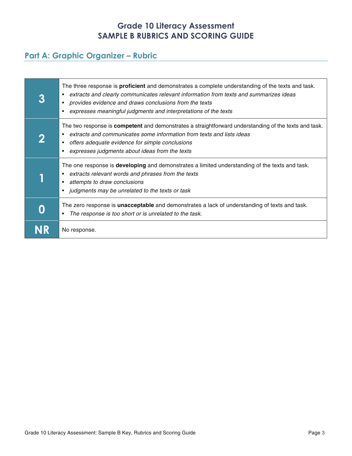## **Grade 10 Literacy Assessment SAMPLE B RUBRICS AND SCORING GUIDE**

# **Part A: Graphic Organizer – Rubric**

| The three response is <b>proficient</b> and demonstrates a complete understanding of the texts and task.<br>extracts and clearly communicates relevant information from texts and summarizes ideas<br>provides evidence and draws conclusions from the texts<br>$\bullet$<br>expresses meaningful judgments and interpretations of the texts |
|----------------------------------------------------------------------------------------------------------------------------------------------------------------------------------------------------------------------------------------------------------------------------------------------------------------------------------------------|
| The two response is <b>competent</b> and demonstrates a straightforward understanding of the texts and task.<br>extracts and communicates some information from texts and lists ideas<br>offers adequate evidence for simple conclusions<br>٠<br>expresses judgments about ideas from the texts<br>$\bullet$                                 |
| The one response is <b>developing</b> and demonstrates a limited understanding of the texts and task.<br>extracts relevant words and phrases from the texts<br>attempts to draw conclusions<br>٠<br>• judgments may be unrelated to the texts or task                                                                                        |
| The zero response is <b>unacceptable</b> and demonstrates a lack of understanding of texts and task.<br>The response is too short or is unrelated to the task.<br>٠                                                                                                                                                                          |
| No response.                                                                                                                                                                                                                                                                                                                                 |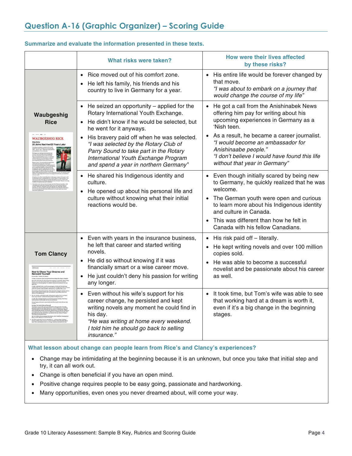#### **Summarize and evaluate the information presented in these texts.**

|                                                                                                            | What risks were taken?                                                                                                                                                                                                                                                                                                                                                                            | <b>How were their lives affected</b><br>by these risks?                                                                                                                                                                                                                                                                                    |
|------------------------------------------------------------------------------------------------------------|---------------------------------------------------------------------------------------------------------------------------------------------------------------------------------------------------------------------------------------------------------------------------------------------------------------------------------------------------------------------------------------------------|--------------------------------------------------------------------------------------------------------------------------------------------------------------------------------------------------------------------------------------------------------------------------------------------------------------------------------------------|
|                                                                                                            | • Rice moved out of his comfort zone.<br>He left his family, his friends and his<br>$\bullet$<br>country to live in Germany for a year.                                                                                                                                                                                                                                                           | • His entire life would be forever changed by<br>that move.<br>"I was about to embark on a journey that<br>would change the course of my life"                                                                                                                                                                                             |
| Waubgeshig<br><b>Rice</b><br><b>WAUBGESHIG RICE</b><br><b>Blog Entry</b><br>20 Jahre Nachher/20 Years Late | He seized an opportunity $-$ applied for the<br>$\bullet$<br>Rotary International Youth Exchange.<br>• He didn't know if he would be selected, but<br>he went for it anyways.<br>• His bravery paid off when he was selected.<br>"I was selected by the Rotary Club of<br>Parry Sound to take part in the Rotary<br>International Youth Exchange Program<br>and spend a year in northern Germany" | • He got a call from the Anishinabek News<br>offering him pay for writing about his<br>upcoming experiences in Germany as a<br>'Nish teen.<br>• As a result, he became a career journalist.<br>"I would become an ambassador for<br>Anishinaabe people."<br>"I don't believe I would have found this life<br>without that year in Germany" |
|                                                                                                            | • He shared his Indigenous identity and<br>culture.<br>He opened up about his personal life and<br>culture without knowing what their initial<br>reactions would be.                                                                                                                                                                                                                              | • Even though initially scared by being new<br>to Germany, he quickly realized that he was<br>welcome.<br>• The German youth were open and curious<br>to learn more about his Indigenous identity<br>and culture in Canada.<br>This was different than how he felt in<br>Canada with his fellow Canadians.                                 |
| <b>Tom Clancy</b><br><b>How to Chase Your Dreams and<br/>Reinvent Yourself</b>                             | Even with years in the insurance business,<br>$\bullet$<br>he left that career and started writing<br>novels.<br>• He did so without knowing if it was<br>financially smart or a wise career move.<br>He just couldn't deny his passion for writing<br>any longer.                                                                                                                                | $\bullet$ His risk paid off $-$ literally.<br>• He kept writing novels and over 100 million<br>copies sold.<br>• He was able to become a successful<br>novelist and be passionate about his career<br>as well.                                                                                                                             |
|                                                                                                            | Even without his wife's support for his<br>career change, he persisted and kept<br>writing novels any moment he could find in<br>his day.<br>"He was writing at home every weekend.<br>I told him he should go back to selling<br><i>insurance."</i>                                                                                                                                              | • It took time, but Tom's wife was able to see<br>that working hard at a dream is worth it,<br>even if it's a big change in the beginning<br>stages.                                                                                                                                                                                       |

#### **What lesson about change can people learn from Rice's and Clancy's experiences?**

- Change may be intimidating at the beginning because it is an unknown, but once you take that initial step and try, it can all work out.
- Change is often beneficial if you have an open mind.
- Positive change requires people to be easy going, passionate and hardworking.
- Many opportunities, even ones you never dreamed about, will come your way.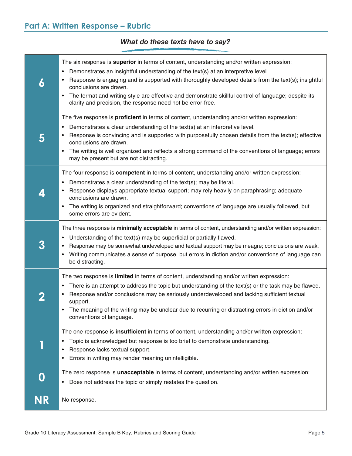## *What do these texts have to say?*

| 6            | The six response is superior in terms of content, understanding and/or written expression:<br>Demonstrates an insightful understanding of the text(s) at an interpretive level.<br>٠<br>Response is engaging and is supported with thoroughly developed details from the text(s); insightful<br>conclusions are drawn.<br>The format and writing style are effective and demonstrate skillful control of language; despite its<br>$\bullet$<br>clarity and precision, the response need not be error-free. |
|--------------|------------------------------------------------------------------------------------------------------------------------------------------------------------------------------------------------------------------------------------------------------------------------------------------------------------------------------------------------------------------------------------------------------------------------------------------------------------------------------------------------------------|
| 5            | The five response is <b>proficient</b> in terms of content, understanding and/or written expression:<br>Demonstrates a clear understanding of the text(s) at an interpretive level.<br>$\bullet$<br>Response is convincing and is supported with purposefully chosen details from the text(s); effective<br>conclusions are drawn.<br>The writing is well organized and reflects a strong command of the conventions of language; errors<br>$\bullet$<br>may be present but are not distracting.           |
| 4            | The four response is competent in terms of content, understanding and/or written expression:<br>Demonstrates a clear understanding of the text(s); may be literal.<br>٠<br>Response displays appropriate textual support; may rely heavily on paraphrasing; adequate<br>conclusions are drawn.<br>The writing is organized and straightforward; conventions of language are usually followed, but<br>٠<br>some errors are evident.                                                                         |
| 3            | The three response is minimally acceptable in terms of content, understanding and/or written expression:<br>Understanding of the text(s) may be superficial or partially flawed.<br>٠<br>Response may be somewhat undeveloped and textual support may be meagre; conclusions are weak.<br>Writing communicates a sense of purpose, but errors in diction and/or conventions of language can<br>$\bullet$<br>be distracting.                                                                                |
| $\mathbf{z}$ | The two response is limited in terms of content, understanding and/or written expression:<br>There is an attempt to address the topic but understanding of the text(s) or the task may be flawed.<br>٠<br>Response and/or conclusions may be seriously underdeveloped and lacking sufficient textual<br>support.<br>The meaning of the writing may be unclear due to recurring or distracting errors in diction and/or<br>conventions of language.                                                         |
|              | The one response is insufficient in terms of content, understanding and/or written expression:<br>Topic is acknowledged but response is too brief to demonstrate understanding.<br>٠<br>Response lacks textual support.<br>٠<br>Errors in writing may render meaning unintelligible.<br>٠                                                                                                                                                                                                                  |
| 0            | The zero response is unacceptable in terms of content, understanding and/or written expression:<br>Does not address the topic or simply restates the question.<br>$\bullet$                                                                                                                                                                                                                                                                                                                                |
| <b>NR</b>    | No response.                                                                                                                                                                                                                                                                                                                                                                                                                                                                                               |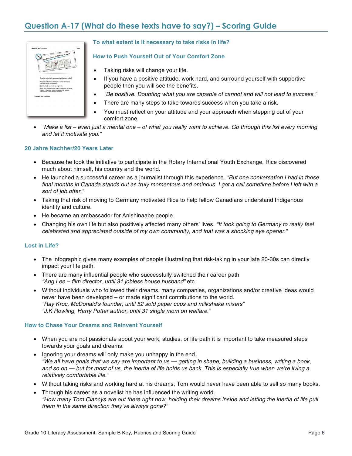# **Question A-17 (What do these texts have to say?) – Scoring Guide**



#### **To what extent is it necessary to take risks in life?**

#### **How to Push Yourself Out of Your Comfort Zone**

- Taking risks will change your life.
- If you have a positive attitude, work hard, and surround yourself with supportive people then you will see the benefits.
- "Be positive. Doubting what you are capable of cannot and will not lead to success."
- There are many steps to take towards success when you take a risk.
- You must reflect on your attitude and your approach when stepping out of your comfort zone.
- "Make a list even just a mental one of what you really want to achieve. Go through this list every morning and let it motivate you."

#### **20 Jahre Nachher/20 Years Later**

- Because he took the initiative to participate in the Rotary International Youth Exchange, Rice discovered much about himself, his country and the world.
- He launched a successful career as a journalist through this experience. "But one conversation I had in those final months in Canada stands out as truly momentous and ominous. I got a call sometime before I left with a sort of job offer."
- Taking that risk of moving to Germany motivated Rice to help fellow Canadians understand Indigenous identity and culture.
- He became an ambassador for Anishinaabe people.
- Changing his own life but also positively affected many others' lives. "It took going to Germany to really feel celebrated and appreciated outside of my own community, and that was a shocking eye opener."

#### **Lost in Life?**

- The infographic gives many examples of people illustrating that risk-taking in your late 20-30s can directly impact your life path.
- There are many influential people who successfully switched their career path. "Ang Lee – film director, until 31 jobless house husband" etc.
- Without individuals who followed their dreams, many companies, organizations and/or creative ideas would never have been developed – or made significant contributions to the world. "Ray Kroc, McDonald's founder, until 52 sold paper cups and milkshake mixers" "J.K Rowling, Harry Potter author, until 31 single mom on welfare."

#### **How to Chase Your Dreams and Reinvent Yourself**

- When you are not passionate about your work, studies, or life path it is important to take measured steps towards your goals and dreams.
- Ignoring your dreams will only make you unhappy in the end. "We all have goals that we say are important to us — getting in shape, building a business, writing a book, and so on — but for most of us, the inertia of life holds us back. This is especially true when we're living a relatively comfortable life."
- Without taking risks and working hard at his dreams, Tom would never have been able to sell so many books.
- Through his career as a novelist he has influenced the writing world. "How many Tom Clancys are out there right now, holding their dreams inside and letting the inertia of life pull them in the same direction they've always gone?"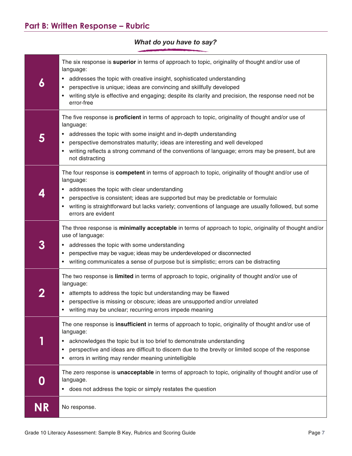### **6**  The six response is **superior** in terms of approach to topic, originality of thought and/or use of language: • addresses the topic with creative insight, sophisticated understanding • perspective is unique; ideas are convincing and skillfully developed writing style is effective and engaging; despite its clarity and precision, the response need not be error-free **5**  The five response is **proficient** in terms of approach to topic, originality of thought and/or use of language: • addresses the topic with some insight and in-depth understanding • perspective demonstrates maturity; ideas are interesting and well developed • writing reflects a strong command of the conventions of language; errors may be present, but are not distracting **4**  The four response is **competent** in terms of approach to topic, originality of thought and/or use of language: • addresses the topic with clear understanding • perspective is consistent; ideas are supported but may be predictable or formulaic • writing is straightforward but lacks variety; conventions of language are usually followed, but some errors are evident **3**  The three response is **minimally acceptable** in terms of approach to topic, originality of thought and/or use of language: • addresses the topic with some understanding • perspective may be vague; ideas may be underdeveloped or disconnected • writing communicates a sense of purpose but is simplistic; errors can be distracting **2**  The two response is **limited** in terms of approach to topic, originality of thought and/or use of language: • attempts to address the topic but understanding may be flawed • perspective is missing or obscure; ideas are unsupported and/or unrelated • writing may be unclear; recurring errors impede meaning **1**  The one response is **insufficient** in terms of approach to topic, originality of thought and/or use of language: • acknowledges the topic but is too brief to demonstrate understanding • perspective and ideas are difficult to discern due to the brevity or limited scope of the response • errors in writing may render meaning unintelligible **0**  The zero response is **unacceptable** in terms of approach to topic, originality of thought and/or use of language.

## *What do you have to say?*

**NR** No response.

• does not address the topic or simply restates the question